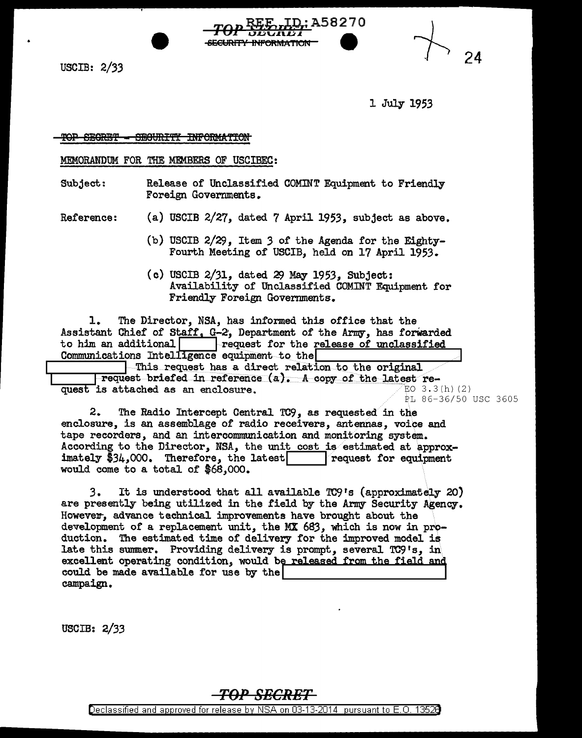USCIB: 2/33

1 July 1953

A58270

24

TOP SEGRET - SEGURITY INFORMATION

MEMORANDUM FOR THE MEMBERS OF USCIBEC:

Subject: Release of Unclassified COMINT Equipment to Friendly Foreign Governments.

<del>INFORMATION</del>

Reference: (a) USCIB 2/27, dated 7 April 1953, subject as above.

- (b) USCIB 2/29, Item *3* of the Agenda for the Eighty-Fourth Meeting of USCIB, held on 17 April 1953.
- $(c)$  USCIB 2/31, dated 29 May 1953, Subject: Availability of Unclassified COMINT Equipment for Friendly Foreign Governments.

1. The Director, NSA, has informed this office that the Assistant Chief of Staff, G-2, Department of the Army, has forwarded to him an additional request for the release of unclassified Communications Intelligence equipment to the

This request has a direct relation to the original request briefed in reference (a). A copy of the latest re-<br>is attached as an enclosure. quest is attached as an enclosure. PL 86-36/50 USC 3605

2. The Radio Intercept Central TC9, as requested in the enclosure, is an assemblage of radio receivers, antennas, voice and tape recorders, and an intercommunication and monitoring system. According to the Director, NSA, the unit cost is estimated at approx-<br>imately  $$34,000$ . Therefore, the latest<br>request for equipment imately  $$34,000$ . Therefore, the latest would come to a total of \$68,000.

3. It is understood that all available TC9's (approximately 20} are presently being utilized in the field by the Army Security Agency. However, advance technical improvements have brought about the development of a replacement unit, the MX *683,* which is now in production. The estimated time of delivery for the improved model is late this summer. Providing delivery is prompt, several TC9's, in rate only summer. The range centery is prompt, several 10, s, in excellent operating condition, would be released from the field and could be made available for use by the campaign.

USCIB: 2/33

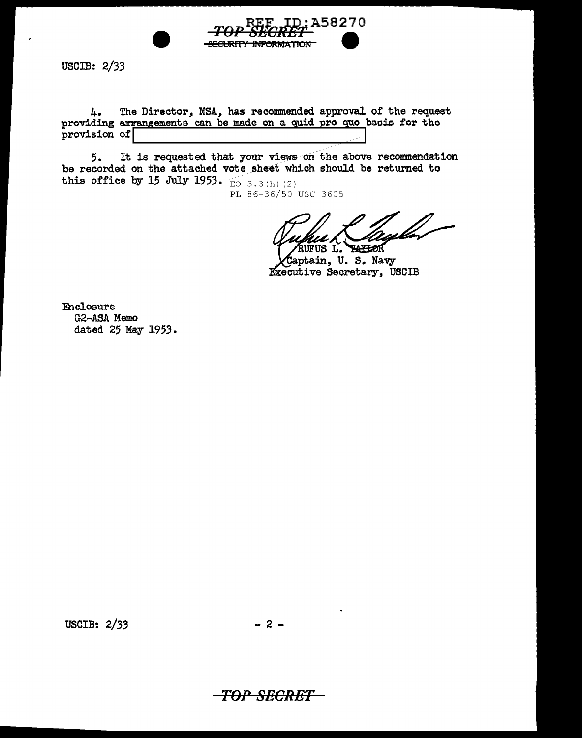

**USCIB: 2/33** 

4. The Director, NSA, has recommended approval of the request providing arrangements can be made on a quid pro quo basis for the provision of

It is requested that your views on the above recommendation  $5.$ be recorded on the attached vote sheet which should be returned to this office by 15 July 1953.  $\overline{E}$  3.3(h)(2)

PL 86-36/50 USC 3605

US L. **TAYLOR** 

aptain, U.S. Navy Executive Secretary, USCIB

**Enclosure** G2-ASA Memo dated 25 May 1953.

USCIB: 2/33

 $-2-$ 

-TOP SECRET-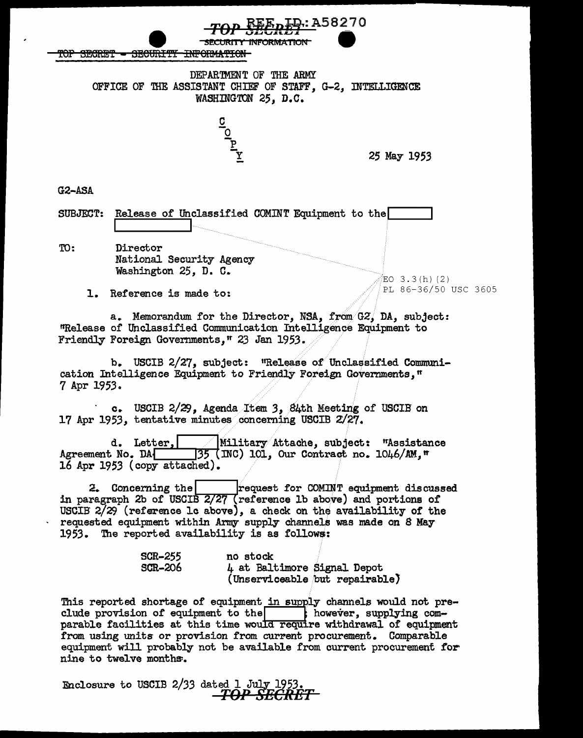TOP SECRET - SECURITY INFORMATION

DEPARTMENT OF THE ARMY OFFICE OF THE ASSISTANT CHIEF OF STAFF, G-2, INTELLIGENCE WASHINGTON 25. D.C.

: A58270

25 May 1953

EO 3.3(h)(2)

PL 86-36/50 USC 3605

 $G2-ASA$ 

SUBJECT: Release of Unclassified COMINT Equipment to the

TO: Director National Security Agency Washington 25, D. C.

1. Reference is made to:

a. Memorandum for the Director, NSA, from G2, DA, subject: "Release of Unclassified Communication Intelligence Equipment to Friendly Foreign Governments," 23 Jan 1953.

b. USCIB 2/27, subject: "Release of Unclassified Communication Intelligence Equipment to Friendly Foreign Governments," 7 Apr 1953.

c. USCIB 2/29, Agenda Item 3, 84th Meeting of USCIB on 17 Apr 1953, tentative minutes concerning USCIB 2/27.

Military Attache, subject: "Assistance d. Letter. Agreement No. DA  $\sqrt{35}$  (INC) 101, Our Contract no. 1046/AM.<sup> $\pi$ </sup> 16 Apr 1953 (copy attached).

2. Concerning the request for COMINT equipment discussed in paragraph 2b of USCIB 2/27 (reference 1b above) and portions of USCIB 2/29 (reference lc above), a check on the availability of the requested equipment within Army supply channels was made on 8 May 1953. The reported availability is as follows:

| <b>SCR-255</b> | no stock                       |
|----------------|--------------------------------|
| <b>SCR-206</b> | 4 at Baltimore Signal Depot    |
|                | (Unserviceable but repairable) |

This reported shortage of equipment in supply channels would not preclude provision of equipment to the subseter, supplying comparable facilities at this time would require withdrawal of equipment from using units or provision from current procurement. Comparable equipment will probably not be available from current procurement for nine to twelve months.

Enclosure to USCIB 2/33 dated 1 July 1953 TOP SECRET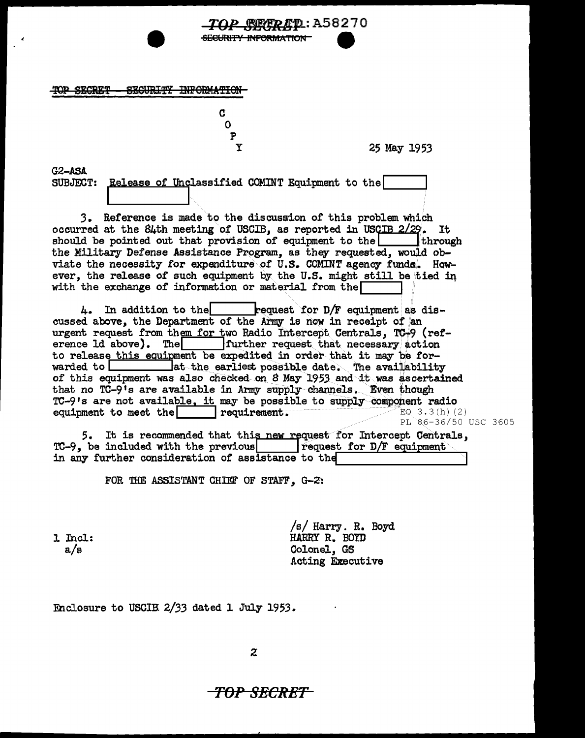<del>)P SECRET</del> SEGURITY INFORMATION

> $\mathbf 0$  $\mathbf{P}$  $\mathbf Y$

C

25 May 1953

 $G2-ASA$ 

SUBJECT: Release of Unclassified COMINT Equipment to the

<del>SECURITY INFORMATION</del>

3. Reference is made to the discussion of this problem which occurred at the 84th meeting of USCIB, as reported in USCIB 2/29. It should be pointed out that provision of equipment to the through the Military Defense Assistance Program, as they requested, would obviate the necessity for expenditure of U.S. COMINT agency funds. However, the release of such equipment by the U.S. might still be tied in with the exchange of information or material from the  $\Box$ 

 $4.$  In addition to the request for D/F equipment as discussed above, the Department of the Army is now in receipt of an urgent request from them for two Radio Intercept Centrals, TC-9 (reffurther request that necessary action erence 1d above). The to release this equipment be expedited in order that it may be for-\_lat the earliest possible date. The availability warded to L<sub>ass</sub> of this equipment was also checked on 8 May 1953 and it was ascertained that no TC-9's are available in Army supply channels. Even though TC-9's are not available, it may be possible to supply component radio equipment to meet the requirement. EQ  $3.3(h)(2)$ PL 86-36/50 USC 3605

5. It is recommended that this new request for Intercept Centrals,  $TC-9$ , be included with the previous  $\vert$  request for D/F equipment in any further consideration of assistance to the

FOR THE ASSISTANT CHIEF OF STAFF, G-2:

1 Incl:  $a/s$ 

/s/ Harry. R. Boyd HARRY R. BOYD Colonel, GS Acting Executive

Enclosure to USCIB 2/33 dated 1 July 1953.

 $\overline{z}$ 

## TOP SECRET